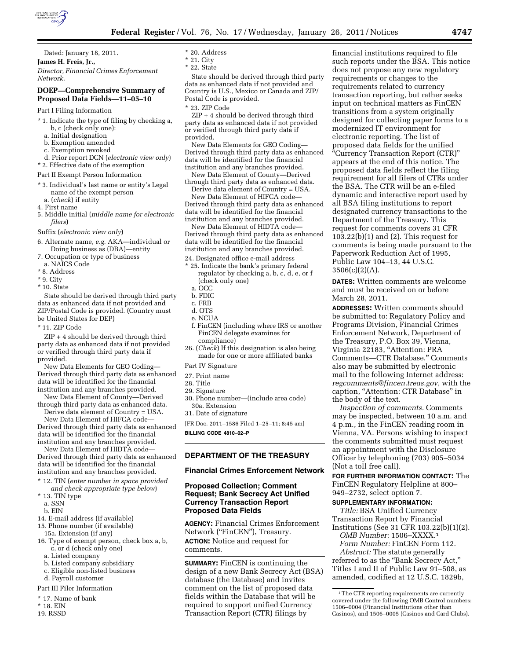

Dated: January 18, 2011.

**James H. Freis, Jr.,** 

*Director, Financial Crimes Enforcement Network.* 

# **DOEP—Comprehensive Summary of Proposed Data Fields—11–05–10**

Part I Filing Information

- \* 1. Indicate the type of filing by checking a, b, c (check only one):
	- a. Initial designation
	- b. Exemption amended
	- c. Exemption revoked
- d. Prior report DCN (*electronic view only*) \* 2. Effective date of the exemption
- 
- Part II Exempt Person Information
- \* 3. Individual's last name or entity's Legal name of the exempt person a. (*check*) if entity
- 4. First name
- 5. Middle initial (*middle name for electronic filers*)
- Suffix (*electronic view only*)
- 6. Alternate name, *e.g.* AKA—individual or Doing business as (DBA)—entity
- 7. Occupation or type of business
- a. NAICS Code
- \* 8. Address
- \* 9. City
- \* 10. State

State should be derived through third party data as enhanced data if not provided and ZIP/Postal Code is provided. (Country must be United States for DEP)

\* 11. ZIP Code

ZIP + 4 should be derived through third party data as enhanced data if not provided or verified through third party data if provided.

New Data Elements for GEO Coding— Derived through third party data as enhanced data will be identified for the financial institution and any branches provided.

New Data Element of County—Derived through third party data as enhanced data. Derive data element of Country = USA.

New Data Element of HIFCA code— Derived through third party data as enhanced data will be identified for the financial

institution and any branches provided. New Data Element of HIDTA code— Derived through third party data as enhanced

data will be identified for the financial institution and any branches provided.

- \* 12. TIN (*enter number in space provided and check appropriate type below*)
- 13. TIN type a. SSN
- b. EIN
- 14. E-mail address (if available)
- 15. Phone number (if available)
- 15a. Extension (if any)
- 16. Type of exempt person, check box a, b, c, or d (check only one)
	- a. Listed company
	- b. Listed company subsidiary
	- c. Eligible non-listed business
- d. Payroll customer
- Part III Filer Information
- \* 17. Name of bank
- \* 18. EIN
- 19. RSSD
- \* 20. Address
- \* 21. City
- \* 22. State

State should be derived through third party data as enhanced data if not provided and Country is U.S., Mexico or Canada and ZIP/ Postal Code is provided.

\* 23. ZIP Code

ZIP + 4 should be derived through third party data as enhanced data if not provided or verified through third party data if provided.

New Data Elements for GEO Coding— Derived through third party data as enhanced data will be identified for the financial institution and any branches provided.

New Data Element of County—Derived through third party data as enhanced data.

Derive data element of Country = USA.

New Data Element of HIFCA code— Derived through third party data as enhanced data will be identified for the financial institution and any branches provided.

New Data Element of HIDTA code— Derived through third party data as enhanced data will be identified for the financial institution and any branches provided.

- 24. Designated office e-mail address
- \* 25. Indicate the bank's primary federal regulator by checking a, b, c, d, e, or f (check only one)
	- a. OCC
- b. FDIC
- c. FRB
- d. OTS
- e. NCUA
- f. FinCEN (including where IRS or another FinCEN delegate examines for compliance)
- 26. (*Check*) If this designation is also being made for one or more affiliated banks
- Part IV Signature
- 27. Print name
- 28. Title
- 29. Signature
- 30. Phone number—(include area code) 30a. Extension
- 31. Date of signature
- [FR Doc. 2011–1586 Filed 1–25–11; 8:45 am] **BILLING CODE 4810–02–P**

**DEPARTMENT OF THE TREASURY** 

#### **Financial Crimes Enforcement Network**

#### **Proposed Collection; Comment Request; Bank Secrecy Act Unified Currency Transaction Report Proposed Data Fields**

**AGENCY:** Financial Crimes Enforcement Network ("FinCEN"), Treasury. **ACTION:** Notice and request for comments.

**SUMMARY:** FinCEN is continuing the design of a new Bank Secrecy Act (BSA) database (the Database) and invites comment on the list of proposed data fields within the Database that will be required to support unified Currency Transaction Report (CTR) filings by

financial institutions required to file such reports under the BSA. This notice does not propose any new regulatory requirements or changes to the requirements related to currency transaction reporting, but rather seeks input on technical matters as FinCEN transitions from a system originally designed for collecting paper forms to a modernized IT environment for electronic reporting. The list of proposed data fields for the unified ''Currency Transaction Report (CTR)'' appears at the end of this notice. The proposed data fields reflect the filing requirement for all filers of CTRs under the BSA. The CTR will be an e-filed dynamic and interactive report used by all BSA filing institutions to report designated currency transactions to the Department of the Treasury. This request for comments covers 31 CFR 103.22(b)(1) and (2). This request for comments is being made pursuant to the Paperwork Reduction Act of 1995, Public Law 104–13, 44 U.S.C.  $3506(c)(2)(A)$ .

**DATES:** Written comments are welcome and must be received on or before March 28, 2011.

**ADDRESSES:** Written comments should be submitted to: Regulatory Policy and Programs Division, Financial Crimes Enforcement Network, Department of the Treasury, P.O. Box 39, Vienna, Virginia 22183, ''Attention: PRA Comments—CTR Database.'' Comments also may be submitted by electronic mail to the following Internet address: *[regcomments@fincen.treas.gov,](mailto:regcomments@fincen.treas.gov)* with the caption, ''Attention: CTR Database'' in the body of the text.

*Inspection of comments.* Comments may be inspected, between 10 a.m. and 4 p.m., in the FinCEN reading room in Vienna, VA. Persons wishing to inspect the comments submitted must request an appointment with the Disclosure Officer by telephoning (703) 905–5034 (Not a toll free call).

**FOR FURTHER INFORMATION CONTACT:** The FinCEN Regulatory Helpline at 800– 949–2732, select option 7.

#### **SUPPLEMENTARY INFORMATION:**

*Title:* BSA Unified Currency Transaction Report by Financial Institutions (See 31 CFR 103.22(b)(1)(2).

*OMB Number:* 1506–XXXX.1

*Form Number:* FinCEN Form 112. *Abstract:* The statute generally

referred to as the ''Bank Secrecy Act,'' Titles I and II of Public Law 91–508, as amended, codified at 12 U.S.C. 1829b,

<sup>1</sup>The CTR reporting requirements are currently covered under the following OMB Control numbers: 1506–0004 (Financial Institutions other than Casinos), and 1506–0005 (Casinos and Card Clubs).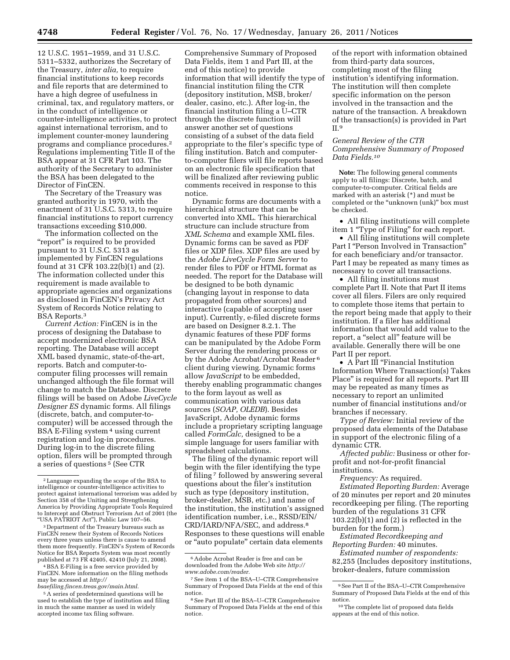12 U.S.C. 1951–1959, and 31 U.S.C. 5311–5332, authorizes the Secretary of the Treasury, *inter alia,* to require financial institutions to keep records and file reports that are determined to have a high degree of usefulness in criminal, tax, and regulatory matters, or in the conduct of intelligence or counter-intelligence activities, to protect against international terrorism, and to implement counter-money laundering programs and compliance procedures.2 Regulations implementing Title II of the BSA appear at 31 CFR Part 103. The authority of the Secretary to administer the BSA has been delegated to the Director of FinCEN.

The Secretary of the Treasury was granted authority in 1970, with the enactment of 31 U.S.C. 5313, to require financial institutions to report currency transactions exceeding \$10,000.

The information collected on the "report" is required to be provided pursuant to 31 U.S.C. 5313 as implemented by FinCEN regulations found at 31 CFR 103.22(b)(1) and (2). The information collected under this requirement is made available to appropriate agencies and organizations as disclosed in FinCEN's Privacy Act System of Records Notice relating to BSA Reports.3

*Current Action:* FinCEN is in the process of designing the Database to accept modernized electronic BSA reporting. The Database will accept XML based dynamic, state-of-the-art, reports. Batch and computer-tocomputer filing processes will remain unchanged although the file format will change to match the Database. Discrete filings will be based on Adobe *LiveCycle Designer ES* dynamic forms. All filings (discrete, batch, and computer-tocomputer) will be accessed through the BSA E-Filing system 4 using current registration and log-in procedures. During log-in to the discrete filing option, filers will be prompted through a series of questions 5 (See CTR

3 Department of the Treasury bureaus such as FinCEN renew their System of Records Notices every three years unless there is cause to amend them more frequently. FinCEN's System of Records Notice for BSA Reports System was most recently published at 73 FR 42405, 42410 (July 21, 2008).

4BSA E-Filing is a free service provided by FinCEN. More information on the filing methods may be accessed at *[http://](http://bsaefiling.fincen.treas.gov/main.html)* 

*[bsaefiling.fincen.treas.gov/main.html](http://bsaefiling.fincen.treas.gov/main.html)*.

<sup>5</sup> A series of predetermined questions will be used to establish the type of institution and filing in much the same manner as used in widely accepted income tax filing software.

Comprehensive Summary of Proposed Data Fields, item 1 and Part III, at the end of this notice) to provide information that will identify the type of financial institution filing the CTR (depository institution, MSB, broker/ dealer, casino, etc.). After log-in, the financial institution filing a U–CTR through the discrete function will answer another set of questions consisting of a subset of the data field appropriate to the filer's specific type of filing institution. Batch and computerto-computer filers will file reports based on an electronic file specification that will be finalized after reviewing public comments received in response to this notice.

Dynamic forms are documents with a hierarchical structure that can be converted into XML. This hierarchical structure can include structure from *XML Schema* and example XML files. Dynamic forms can be saved as PDF files or XDP files. XDP files are used by the *Adobe LiveCycle Form Server* to render files to PDF or HTML format as needed. The report for the Database will be designed to be both dynamic (changing layout in response to data propagated from other sources) and interactive (capable of accepting user input). Currently, e-filed discrete forms are based on Designer 8.2.1. The dynamic features of these PDF forms can be manipulated by the Adobe Form Server during the rendering process or by the Adobe Acrobat/Acrobat Reader 6 client during viewing. Dynamic forms allow *JavaScript* to be embedded, thereby enabling programmatic changes to the form layout as well as communication with various data sources (*SOAP, OLEDB*). Besides JavaScript, Adobe dynamic forms include a proprietary scripting language called *FormCalc,* designed to be a simple language for users familiar with spreadsheet calculations.

The filing of the dynamic report will begin with the filer identifying the type of filing 7 followed by answering several questions about the filer's institution such as type (depository institution, broker-dealer, MSB, etc.) and name of the institution, the institution's assigned identification number, i.e., RSSD/EIN/ CRD/IARD/NFA/SEC, and address.8 Responses to these questions will enable or ''auto populate'' certain data elements

of the report with information obtained from third-party data sources, completing most of the filing institution's identifying information. The institution will then complete specific information on the person involved in the transaction and the nature of the transaction. A breakdown of the transaction(s) is provided in Part  $II.9$ 

# *General Review of the CTR Comprehensive Summary of Proposed Data Fields.10*

**Note:** The following general comments apply to all filings: Discrete, batch, and computer-to-computer. Critical fields are marked with an asterisk (\*) and must be completed or the ''unknown (unk)'' box must be checked.

• All filing institutions will complete item 1 ''Type of Filing'' for each report.

• All filing institutions will complete Part I "Person Involved in Transaction" for each beneficiary and/or transactor. Part I may be repeated as many times as necessary to cover all transactions.

• All filing institutions must complete Part II. Note that Part II items cover all filers. Filers are only required to complete those items that pertain to the report being made that apply to their institution. If a filer has additional information that would add value to the report, a "select all" feature will be available. Generally there will be one Part II per report.

• A Part III "Financial Institution Information Where Transaction(s) Takes Place'' is required for all reports. Part III may be repeated as many times as necessary to report an unlimited number of financial institutions and/or branches if necessary.

*Type of Review:* Initial review of the proposed data elements of the Database in support of the electronic filing of a dynamic CTR.

*Affected public:* Business or other forprofit and not-for-profit financial institutions.

*Frequency:* As required.

*Estimated Reporting Burden:* Average of 20 minutes per report and 20 minutes recordkeeping per filing. (The reporting burden of the regulations 31 CFR 103.22(b)(1) and (2) is reflected in the burden for the form.)

*Estimated Recordkeeping and Reporting Burden:* 40 minutes.

*Estimated number of respondents:*  82,255 (Includes depository institutions, broker-dealers, future commission

<sup>2</sup>Language expanding the scope of the BSA to intelligence or counter-intelligence activities to protect against international terrorism was added by Section 358 of the Uniting and Strengthening America by Providing Appropriate Tools Required to Intercept and Obstruct Terrorism Act of 2001 (the ''USA PATRIOT Act''), Public Law 107–56.

<sup>6</sup>Adobe Acrobat Reader is free and can be downloaded from the Adobe Web site *[http://](http://www.adobe.com/reader) [www.adobe.com/reader.](http://www.adobe.com/reader)* 

<sup>7</sup>See item 1 of the BSA–U–CTR Comprehensive Summary of Proposed Data Fields at the end of this notice.

<sup>8</sup>See Part III of the BSA–U–CTR Comprehensive Summary of Proposed Data Fields at the end of this notice.

<sup>9</sup>See Part II of the BSA–U–CTR Comprehensive Summary of Proposed Data Fields at the end of this notice.

<sup>10</sup>The complete list of proposed data fields appears at the end of this notice.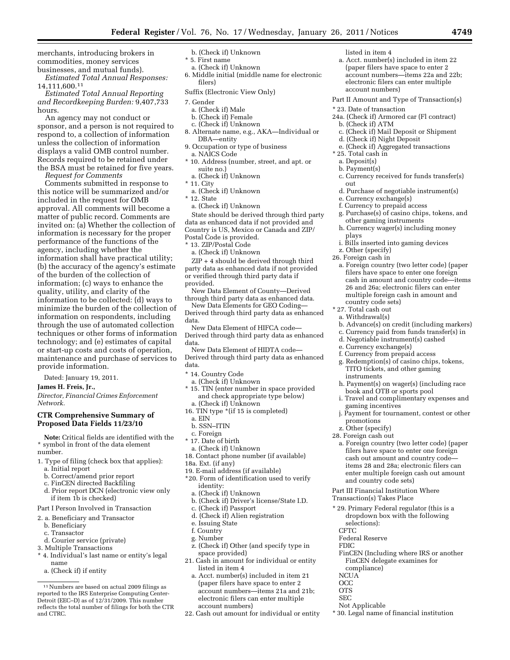merchants, introducing brokers in commodities, money services businesses, and mutual funds).

*Estimated Total Annual Responses:*  14,111,600.11

*Estimated Total Annual Reporting and Recordkeeping Burden:* 9,407,733 hours.

An agency may not conduct or sponsor, and a person is not required to respond to, a collection of information unless the collection of information displays a valid OMB control number. Records required to be retained under the BSA must be retained for five years.

*Request for Comments* 

Comments submitted in response to this notice will be summarized and/or included in the request for OMB approval. All comments will become a matter of public record. Comments are invited on: (a) Whether the collection of information is necessary for the proper performance of the functions of the agency, including whether the information shall have practical utility; (b) the accuracy of the agency's estimate of the burden of the collection of information; (c) ways to enhance the quality, utility, and clarity of the information to be collected: (d) ways to minimize the burden of the collection of information on respondents, including through the use of automated collection techniques or other forms of information technology; and (e) estimates of capital or start-up costs and costs of operation, maintenance and purchase of services to provide information.

Dated: January 19, 2011.

**James H. Freis, Jr.,** 

*Director, Financial Crimes Enforcement Network.* 

# **CTR Comprehensive Summary of Proposed Data Fields 11/23/10**

**Note:** Critical fields are identified with the \* symbol in front of the data element number.

- 1. Type of filing (check box that applies):
	- a. Initial report
	- b. Correct/amend prior report
	- c. FinCEN directed Backfiling
	- d. Prior report DCN (electronic view only if item 1b is checked)
- Part I Person Involved in Transaction
- 2. a. Beneficiary and Transactor
- b. Beneficiary
- c. Transactor
- d. Courier service (private)
- 3. Multiple Transactions
- \* 4. Individual's last name or entity's legal name
	- a. (Check if) if entity
- b. (Check if) Unknown
- \* 5. First name
- a. (Check if) Unknown
- 6. Middle initial (middle name for electronic filers)

Suffix (Electronic View Only)

- 7. Gender
	- a. (Check if) Male
	- b. (Check if) Female
	- c. (Check if) Unknown
- 8. Alternate name, e.g., AKA—Individual or DBA—entity
- 9. Occupation or type of business a. NAICS Code
- \* 10. Address (number, street, and apt. or suite no.)
- a. (Check if) Unknown
- \* 11. City
- a. (Check if) Unknown
- \* 12. State
- a. (Check if) Unknown

State should be derived through third party data as enhanced data if not provided and Country is US, Mexico or Canada and ZIP/ Postal Code is provided.

- \* 13. ZIP/Postal Code
- a. (Check if) Unknown

ZIP + 4 should be derived through third party data as enhanced data if not provided or verified through third party data if provided.

New Data Element of County—Derived through third party data as enhanced data.

New Data Elements for GEO Coding— Derived through third party data as enhanced data.

New Data Element of HIFCA code—

Derived through third party data as enhanced data.

New Data Element of HIDTA code— Derived through third party data as enhanced data.

- \* 14. Country Code
- a. (Check if) Unknown
- \* 15. TIN (enter number in space provided and check appropriate type below) a. (Check if) Unknown
- 16. TIN type \*(if 15 is completed)
- a. EIN
- b. SSN–ITIN
- c. Foreign
- \* 17. Date of birth
- a. (Check if) Unknown
- 18. Contact phone number (if available)
- 18a. Ext. (if any)
- 19. E-mail address (if available) \*20. Form of identification used to verify identity:
	- a. (Check if) Unknown
	- b. (Check if) Driver's license/State I.D.
	- c. (Check if) Passport
	- d. (Check if) Alien registration
- e. Issuing State
- f. Country
- g. Number
- z. (Check if) Other (and specify type in space provided)
- 21. Cash in amount for individual or entity listed in item 4
	- a. Acct. number(s) included in item 21 (paper filers have space to enter 2 account numbers—items 21a and 21b; electronic filers can enter multiple account numbers)
- 22. Cash out amount for individual or entity

listed in item 4

- a. Acct. number(s) included in item 22 (paper filers have space to enter 2 account numbers—items 22a and 22b; electronic filers can enter multiple account numbers)
- Part II Amount and Type of Transaction(s)
- \* 23. Date of transaction
- 24a. (Check if) Armored car (Fl contract)
- b. (Check if) ATM
- c. (Check if) Mail Deposit or Shipment
- d. (Check if) Night Deposit
- e. (Check if) Aggregated transactions
- \* 25. Total cash in
	- a. Deposit(s)
	- b. Payment(s) c. Currency received for funds transfer(s) out
- d. Purchase of negotiable instrument(s)
- e. Currency exchange(s)
- f. Currency to prepaid access
- g. Purchase(s) of casino chips, tokens, and
- other gaming instruments
- h. Currency wager(s) including money plays
- i. Bills inserted into gaming devices z. Other (specify)
- 26. Foreign cash in
	- a. Foreign country (two letter code) (paper filers have space to enter one foreign cash in amount and country code—items 26 and 26a; electronic filers can enter multiple foreign cash in amount and country code sets)
- \* 27. Total cash out
- a. Withdrawal(s)

instruments

promotions z. Other (specify) 28. Foreign cash out

selections): **CFTC** 

Federal Reserve

compliance)

Not Applicable

FDIC

**NCUA** OCC OTS SEC

e. Currency exchange(s) f. Currency from prepaid access g. Redemption(s) of casino chips, tokens, TITO tickets, and other gaming

gaming incentives

and country code sets) Part III Financial Institution Where Transaction(s) Takes Place

\* 29. Primary Federal regulator (this is a dropdown box with the following

FinCEN (Including where IRS or another FinCEN delegate examines for

\* 30. Legal name of financial institution

- b. Advance(s) on credit (including markers)
- c. Currency paid from funds transfer(s) in d. Negotiable instrument(s) cashed

h. Payment(s) on wager(s) (including race book and OTB or sports pool i. Travel and complimentary expenses and

j. Payment for tournament, contest or other

a. Foreign country (two letter code) (paper filers have space to enter one foreign cash out amount and country code items 28 and 28a; electronic filers can enter multiple foreign cash out amount

<sup>11</sup>Numbers are based on actual 2009 filings as reported to the IRS Enterprise Computing Center-Detroit (EEC–D) as of 12/31/2009. This number reflects the total number of filings for both the CTR and CTRC.